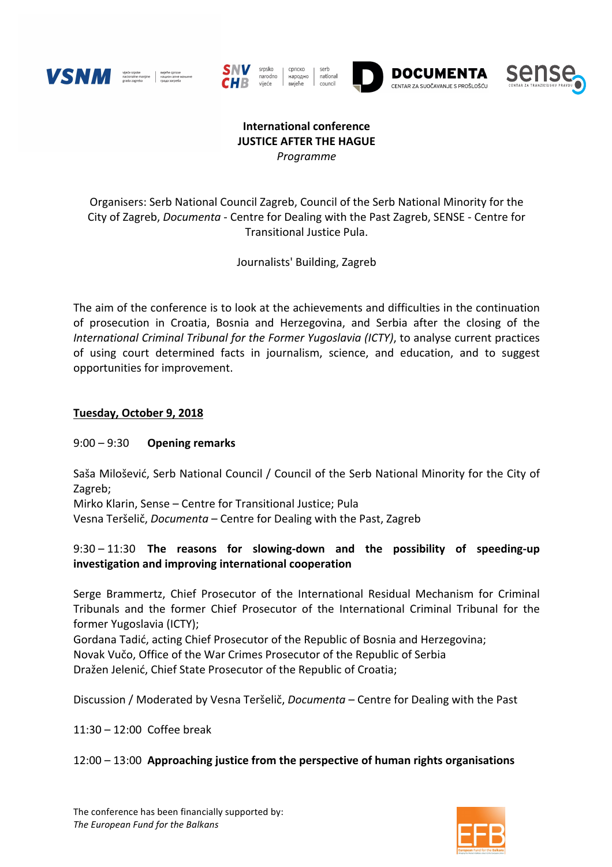











### **International conference JUSTICE AFTER THE HAGUE** *Programme*

Organisers: Serb National Council Zagreb, Council of the Serb National Minority for the City of Zagreb, *Documenta* - Centre for Dealing with the Past Zagreb, SENSE - Centre for Transitional Justice Pula.

Journalists' Building, Zagreb

The aim of the conference is to look at the achievements and difficulties in the continuation of prosecution in Croatia, Bosnia and Herzegovina, and Serbia after the closing of the *International Criminal Tribunal for the Former Yugoslavia (ICTY)*, to analyse current practices of using court determined facts in journalism, science, and education, and to suggest opportunities for improvement.

### **Tuesday, October 9, 2018**

### 9:00 – 9:30 **Opening remarks**

Saša Milošević, Serb National Council / Council of the Serb National Minority for the City of Zagreb;

Mirko Klarin, Sense – Centre for Transitional Justice; Pula Vesna Teršelič, *Documenta* – Centre for Dealing with the Past, Zagreb

# 9:30 – 11:30 The reasons for slowing-down and the possibility of speeding-up **investigation and improving international cooperation**

Serge Brammertz, Chief Prosecutor of the International Residual Mechanism for Criminal Tribunals and the former Chief Prosecutor of the International Criminal Tribunal for the former Yugoslavia (ICTY);

Gordana Tadić, acting Chief Prosecutor of the Republic of Bosnia and Herzegovina; Novak Vučo, Office of the War Crimes Prosecutor of the Republic of Serbia Dražen Jelenić, Chief State Prosecutor of the Republic of Croatia;

Discussion / Moderated by Vesna Teršelič, *Documenta* – Centre for Dealing with the Past

 $11:30 - 12:00$  Coffee break

### $12:00 - 13:00$  Approaching justice from the perspective of human rights organisations

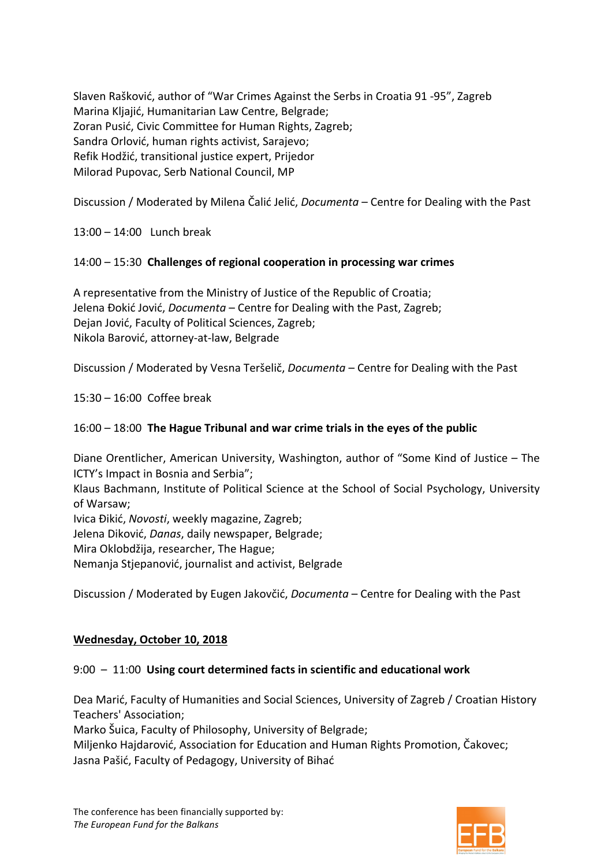Slaven Rašković, author of "War Crimes Against the Serbs in Croatia 91 -95", Zagreb Marina Kljajić, Humanitarian Law Centre, Belgrade; Zoran Pusić, Civic Committee for Human Rights, Zagreb; Sandra Orlović, human rights activist, Sarajevo; Refik Hodžić, transitional justice expert, Prijedor Milorad Pupovac, Serb National Council, MP

Discussion / Moderated by Milena Čalić Jelić, *Documenta* - Centre for Dealing with the Past

 $13:00 - 14:00$  Lunch break

### 14:00 – 15:30 Challenges of regional cooperation in processing war crimes

A representative from the Ministry of Justice of the Republic of Croatia; Jelena Đokić Jović, *Documenta* – Centre for Dealing with the Past, Zagreb; Dejan Jović, Faculty of Political Sciences, Zagreb; Nikola Barović, attorney-at-law, Belgrade

Discussion / Moderated by Vesna Teršelič, *Documenta* – Centre for Dealing with the Past

 $15:30 - 16:00$  Coffee break

## 16:00 – 18:00 The Hague Tribunal and war crime trials in the eyes of the public

Diane Orentlicher, American University, Washington, author of "Some Kind of Justice - The ICTY's Impact in Bosnia and Serbia":

Klaus Bachmann, Institute of Political Science at the School of Social Psychology, University of Warsaw:

Ivica Đikić, *Novosti*, weekly magazine, Zagreb;

Jelena Diković, *Danas*, daily newspaper, Belgrade;

Mira Oklobdžija, researcher, The Hague;

Nemanja Stjepanović, journalist and activist, Belgrade

Discussion / Moderated by Eugen Jakovčić, *Documenta* – Centre for Dealing with the Past

### **Wednesday, October 10, 2018**

### 9:00 - 11:00 Using court determined facts in scientific and educational work

Dea Marić, Faculty of Humanities and Social Sciences, University of Zagreb / Croatian History Teachers' Association;

Marko Šuica, Faculty of Philosophy, University of Belgrade;

Miljenko Hajdarović, Association for Education and Human Rights Promotion, Čakovec; Jasna Pašić, Faculty of Pedagogy, University of Bihać